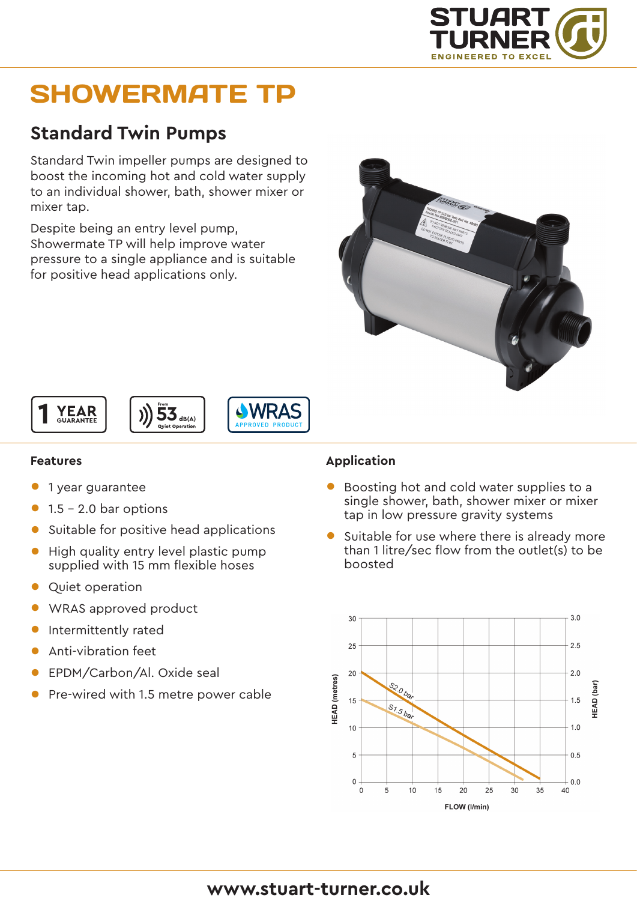

# SHOWERMATE TP

## **Standard Twin Pumps**

Standard Twin impeller pumps are designed to boost the incoming hot and cold water supply to an individual shower, bath, shower mixer or mixer tap.

Despite being an entry level pump, Showermate TP will help improve water pressure to a single appliance and is suitable for positive head applications only.









#### **Features**

- 1 year guarantee
- $\bullet$  1.5 2.0 bar options
- Suitable for positive head applications
- High quality entry level plastic pump supplied with 15 mm flexible hoses
- Quiet operation
- WRAS approved product
- Intermittently rated
- Anti-vibration feet
- EPDM/Carbon/Al. Oxide seal
- Pre-wired with 1.5 metre power cable

#### **Application**

- Boosting hot and cold water supplies to a single shower, bath, shower mixer or mixer tap in low pressure gravity systems
- Suitable for use where there is already more than 1 litre/sec flow from the outlet(s) to be boosted



### **www.stuart-turner.co.uk**